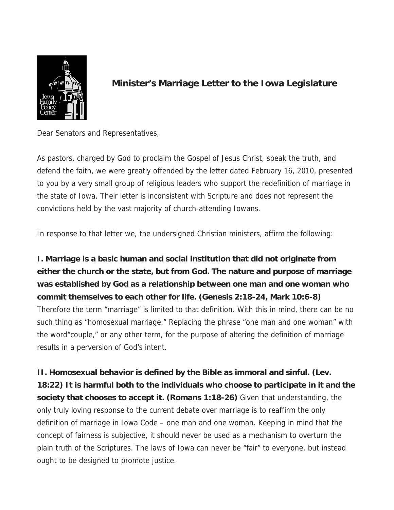

## **Minister's Marriage Letter to the Iowa Legislature**

Dear Senators and Representatives,

As pastors, charged by God to proclaim the Gospel of Jesus Christ, speak the truth, and defend the faith, we were greatly offended by the letter dated February 16, 2010, presented to you by a very small group of religious leaders who support the redefinition of marriage in the state of Iowa. Their letter is inconsistent with Scripture and does not represent the convictions held by the vast majority of church-attending Iowans.

In response to that letter we, the undersigned Christian ministers, affirm the following:

**I. Marriage is a basic human and social institution that did not originate from either the church or the state, but from God. The nature and purpose of marriage was established by God as a relationship between one man and one woman who commit themselves to each other for life. (Genesis 2:18-24, Mark 10:6-8)** Therefore the term "marriage" is limited to that definition. With this in mind, there can be no such thing as "homosexual marriage." Replacing the phrase "one man and one woman" with the word"couple," or any other term, for the purpose of altering the definition of marriage results in a perversion of God's intent.

**II. Homosexual behavior is defined by the Bible as immoral and sinful. (Lev. 18:22) It is harmful both to the individuals who choose to participate in it and the society that chooses to accept it. (Romans 1:18-26)** Given that understanding, the only truly loving response to the current debate over marriage is to reaffirm the only definition of marriage in Iowa Code – one man and one woman. Keeping in mind that the concept of fairness is subjective, it should never be used as a mechanism to overturn the plain truth of the Scriptures. The laws of Iowa can never be "fair" to everyone, but instead ought to be designed to promote justice.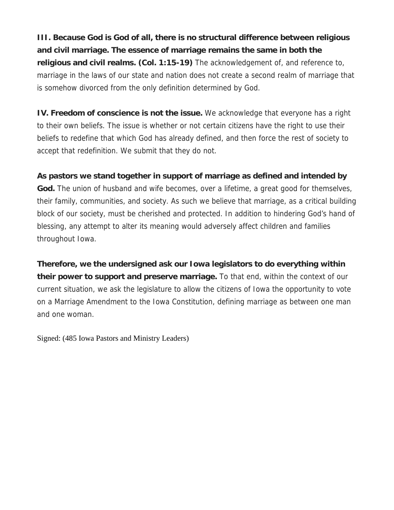**III. Because God is God of all, there is no structural difference between religious and civil marriage. The essence of marriage remains the same in both the religious and civil realms. (Col. 1:15-19)** The acknowledgement of, and reference to, marriage in the laws of our state and nation does not create a second realm of marriage that is somehow divorced from the only definition determined by God.

**IV. Freedom of conscience is not the issue.** We acknowledge that everyone has a right to their own beliefs. The issue is whether or not certain citizens have the right to use their beliefs to redefine that which God has already defined, and then force the rest of society to accept that redefinition. We submit that they do not.

## **As pastors we stand together in support of marriage as defined and intended by**

**God.** The union of husband and wife becomes, over a lifetime, a great good for themselves, their family, communities, and society. As such we believe that marriage, as a critical building block of our society, must be cherished and protected. In addition to hindering God's hand of blessing, any attempt to alter its meaning would adversely affect children and families throughout Iowa.

**Therefore, we the undersigned ask our Iowa legislators to do everything within their power to support and preserve marriage.** To that end, within the context of our current situation, we ask the legislature to allow the citizens of Iowa the opportunity to vote on a Marriage Amendment to the Iowa Constitution, defining marriage as between one man and one woman.

Signed: (485 Iowa Pastors and Ministry Leaders)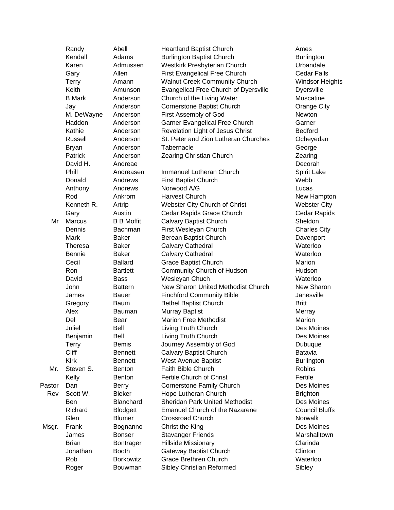|        | Randy                 | Abell             | <b>Heartland Baptist Church</b>              | Ames                    |
|--------|-----------------------|-------------------|----------------------------------------------|-------------------------|
|        | Kendall               | Adams             | <b>Burlington Baptist Church</b>             | Burlington              |
|        | Karen                 | Admussen          | Westkirk Presbyterian Church                 | Urbandale               |
|        | Gary                  | Allen             | <b>First Evangelical Free Church</b>         | <b>Cedar Falls</b>      |
|        | <b>Terry</b>          | Amann             | <b>Walnut Creek Community Church</b>         | <b>Windsor Heights</b>  |
|        | Keith                 | Amunson           | <b>Evangelical Free Church of Dyersville</b> | Dyersville              |
|        | <b>B</b> Mark         | Anderson          | Church of the Living Water                   | Muscatine               |
|        | Jay                   | Anderson          | Cornerstone Baptist Church                   | Orange City             |
|        | M. DeWayne            | Anderson          | First Assembly of God                        | Newton                  |
|        | Haddon                | Anderson          | Garner Evangelical Free Church               | Garner                  |
|        | Kathie                | Anderson          | Revelation Light of Jesus Christ             | <b>Bedford</b>          |
|        | Russell               | Anderson          | St. Peter and Zion Lutheran Churches         | Ocheyedan               |
|        | <b>Bryan</b>          | Anderson          | Tabernacle                                   | George                  |
|        | <b>Patrick</b>        | Anderson          | Zearing Christian Church                     | Zearing                 |
|        | David H.              | Andreae           |                                              | Decorah                 |
|        | Phill                 | Andreasen         | Immanuel Lutheran Church                     | Spirit Lake             |
|        | Donald                | Andrews           | <b>First Baptist Church</b>                  | Webb                    |
|        | Anthony               | Andrews           | Norwood A/G                                  | Lucas                   |
|        | Rod                   |                   | <b>Harvest Church</b>                        |                         |
|        | Kenneth R.            | Ankrom            |                                              | New Hampton             |
|        |                       | Artrip            | Webster City Church of Christ                | <b>Webster City</b>     |
|        | Gary<br><b>Marcus</b> | Austin            | Cedar Rapids Grace Church                    | Cedar Rapids<br>Sheldon |
| Mr     |                       | <b>B B Moffit</b> | <b>Calvary Baptist Church</b>                |                         |
|        | Dennis                | Bachman           | First Wesleyan Church                        | <b>Charles City</b>     |
|        | Mark                  | <b>Baker</b>      | Berean Baptist Church                        | Davenport               |
|        | Theresa               | <b>Baker</b>      | Calvary Cathedral                            | Waterloo                |
|        | Bennie                | <b>Baker</b>      | Calvary Cathedral                            | Waterloo                |
|        | Cecil                 | <b>Ballard</b>    | <b>Grace Baptist Church</b>                  | Marion                  |
|        | Ron                   | <b>Bartlett</b>   | Community Church of Hudson                   | Hudson                  |
|        | David                 | <b>Bass</b>       | Wesleyan Chuch                               | Waterloo                |
|        | John                  | <b>Battern</b>    | New Sharon United Methodist Church           | New Sharon              |
|        | James                 | Bauer             | <b>Finchford Community Bible</b>             | Janesville              |
|        | Gregory               | <b>Baum</b>       | <b>Bethel Baptist Church</b>                 | <b>Britt</b>            |
|        | Alex                  | Bauman            | Murray Baptist                               | Merray                  |
|        | Del                   | Bear              | <b>Marion Free Methodist</b>                 | Marion                  |
|        | Juliel                | Bell              | Living Truth Church                          | Des Moines              |
|        | Benjamin              | Bell              | Living Truth Church                          | Des Moines              |
|        | <b>Terry</b>          | <b>Bemis</b>      | Journey Assembly of God                      | Dubuque                 |
|        | <b>Cliff</b>          | <b>Bennett</b>    | <b>Calvary Baptist Church</b>                | Batavia                 |
|        | <b>Kirk</b>           | <b>Bennett</b>    | <b>West Avenue Baptist</b>                   | <b>Burlington</b>       |
| Mr.    | Steven S.             | <b>Benton</b>     | Faith Bible Church                           | <b>Robins</b>           |
|        | Kelly                 | <b>Benton</b>     | Fertile Church of Christ                     | Fertile                 |
| Pastor | Dan                   | <b>Berry</b>      | <b>Cornerstone Family Church</b>             | Des Moines              |
| Rev    | Scott W.              | <b>Bieker</b>     | Hope Lutheran Church                         | <b>Brighton</b>         |
|        | Ben                   | Blanchard         | <b>Sheridan Park United Methodist</b>        | Des Moines              |
|        | Richard               | <b>Blodgett</b>   | <b>Emanuel Church of the Nazarene</b>        | <b>Council Bluffs</b>   |
|        | Glen                  | <b>Blumer</b>     | <b>Crossroad Church</b>                      | <b>Norwalk</b>          |
| Msgr.  | Frank                 | Bognanno          | Christ the King                              | Des Moines              |
|        | James                 | <b>Bonser</b>     | <b>Stavanger Friends</b>                     | Marshalltown            |
|        | <b>Brian</b>          | Bontrager         | <b>Hillside Missionary</b>                   | Clarinda                |
|        | Jonathan              | <b>Booth</b>      | <b>Gateway Baptist Church</b>                | Clinton                 |
|        | Rob                   | <b>Borkowitz</b>  | <b>Grace Brethren Church</b>                 | Waterloo                |
|        | Roger                 | Bouwman           | Sibley Christian Reformed                    | Sibley                  |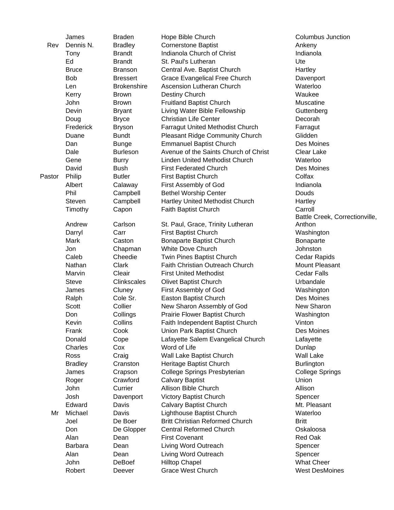|        | James          | <b>Braden</b>      | Hope Bible Church                      | Columbus Junction                        |
|--------|----------------|--------------------|----------------------------------------|------------------------------------------|
| Rev    | Dennis N.      | <b>Bradley</b>     | <b>Cornerstone Baptist</b>             | Ankeny                                   |
|        | Tony           | <b>Brandt</b>      | Indianola Church of Christ             | Indianola                                |
|        | Ed             | <b>Brandt</b>      | St. Paul's Lutheran                    | Ute                                      |
|        | <b>Bruce</b>   | <b>Branson</b>     | Central Ave. Baptist Church            | Hartley                                  |
|        | <b>Bob</b>     | <b>Bressert</b>    | <b>Grace Evangelical Free Church</b>   | Davenport                                |
|        | Len            | <b>Brokenshire</b> | <b>Ascension Lutheran Church</b>       | Waterloo                                 |
|        | Kerry          | <b>Brown</b>       | Destiny Church                         | Waukee                                   |
|        | John           | <b>Brown</b>       | <b>Fruitland Baptist Church</b>        | Muscatine                                |
|        | Devin          | <b>Bryant</b>      | Living Water Bible Fellowship          | Guttenberg                               |
|        | Doug           | <b>Bryce</b>       | <b>Christian Life Center</b>           | Decorah                                  |
|        | Frederick      | <b>Bryson</b>      | Farragut United Methodist Church       | Farragut                                 |
|        | Duane          | <b>Bundt</b>       | <b>Pleasant Ridge Community Church</b> | Glidden                                  |
|        | Dan            | <b>Bunge</b>       | <b>Emmanuel Baptist Church</b>         | Des Moines                               |
|        | Dale           | <b>Burleson</b>    | Avenue of the Saints Church of Christ  | <b>Clear Lake</b>                        |
|        | Gene           | <b>Burry</b>       | Linden United Methodist Church         | Waterloo                                 |
|        | David          | <b>Bush</b>        | <b>First Federated Church</b>          | Des Moines                               |
| Pastor | Philip         | <b>Butler</b>      | First Baptist Church                   | Colfax                                   |
|        | Albert         |                    | First Assembly of God                  | Indianola                                |
|        |                | Calaway            |                                        |                                          |
|        | Phil           | Campbell           | <b>Bethel Worship Center</b>           | Douds                                    |
|        | Steven         | Campbell           | Hartley United Methodist Church        | Hartley                                  |
|        | Timothy        | Capon              | Faith Baptist Church                   | Carroll                                  |
|        | Andrew         | Carlson            | St. Paul, Grace, Trinity Lutheran      | Battle Creek, Correctionville,<br>Anthon |
|        | Darryl         | Carr               | First Baptist Church                   | Washington                               |
|        | Mark           | Caston             |                                        |                                          |
|        |                |                    | Bonaparte Baptist Church               | Bonaparte                                |
|        | Jon            | Chapman            | <b>White Dove Church</b>               | Johnston                                 |
|        | Caleb          | Cheedie            | Twin Pines Baptist Church              | Cedar Rapids                             |
|        | Nathan         | Clark              | <b>Faith Christian Outreach Church</b> | Mount Pleasant                           |
|        | Marvin         | Cleair             | <b>First United Methodist</b>          | <b>Cedar Falls</b>                       |
|        | <b>Steve</b>   | Clinkscales        | <b>Olivet Baptist Church</b>           | Urbandale                                |
|        | James          | Cluney             | First Assembly of God                  | Washington                               |
|        | Ralph          | Cole Sr.           | Easton Baptist Church                  | Des Moines                               |
|        | <b>Scott</b>   | Collier            | New Sharon Assembly of God             | New Sharon                               |
|        | Don            | Collings           | Prairie Flower Baptist Church          | Washington                               |
|        | Kevin          | Collins            | Faith Independent Baptist Church       | Vinton                                   |
|        | Frank          | Cook               | Union Park Baptist Church              | Des Moines                               |
|        | Donald         | Cope               | Lafayette Salem Evangelical Church     | Lafayette                                |
|        | Charles        | Cox                | Word of Life                           | Dunlap                                   |
|        | Ross           | Craig              | Wall Lake Baptist Church               | <b>Wall Lake</b>                         |
|        | <b>Bradley</b> | Cranston           | Heritage Baptist Church                | <b>Burlington</b>                        |
|        | James          | Crapson            | College Springs Presbyterian           | <b>College Springs</b>                   |
|        | Roger          | Crawford           | <b>Calvary Baptist</b>                 | Union                                    |
|        | John           | Currier            | Allison Bible Church                   | Allison                                  |
|        | Josh           | Davenport          | Victory Baptist Church                 | Spencer                                  |
|        | Edward         | Davis              | <b>Calvary Baptist Church</b>          | Mt. Pleasant                             |
| Mr     | Michael        | Davis              | Lighthouse Baptist Church              | Waterloo                                 |
|        | Joel           | De Boer            | <b>Britt Christian Reformed Church</b> | <b>Britt</b>                             |
|        | Don            | De Glopper         | <b>Central Reformed Church</b>         | Oskaloosa                                |
|        | Alan           | Dean               | <b>First Covenant</b>                  | Red Oak                                  |
|        | <b>Barbara</b> | Dean               | Living Word Outreach                   | Spencer                                  |
|        | Alan           | Dean               | Living Word Outreach                   | Spencer                                  |
|        | John           | <b>DeBoef</b>      | <b>Hilltop Chapel</b>                  | <b>What Cheer</b>                        |
|        | Robert         | Deever             | <b>Grace West Church</b>               | <b>West DesMoines</b>                    |
|        |                |                    |                                        |                                          |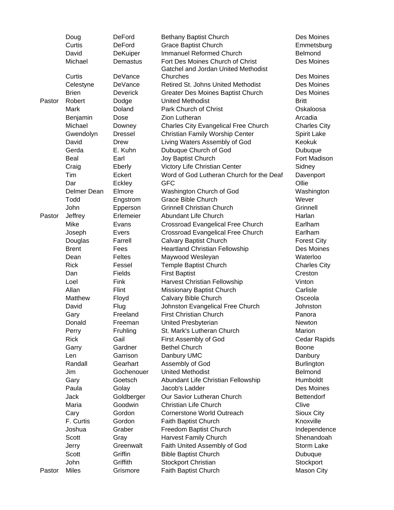|        | Doug              | <b>DeFord</b>    | Bethany Baptist Church                      | Des Moines              |
|--------|-------------------|------------------|---------------------------------------------|-------------------------|
|        | Curtis            | <b>DeFord</b>    | <b>Grace Baptist Church</b>                 | Emmetsburg              |
|        | David             | DeKuiper         | <b>Immanuel Reformed Church</b>             | <b>Belmond</b>          |
|        | Michael           | Demastus         | Fort Des Moines Church of Christ            | Des Moines              |
|        |                   |                  | Gatchel and Jordan United Methodist         |                         |
|        | Curtis            | DeVance          | Churches                                    | Des Moines              |
|        | Celestyne         | DeVance          | Retired St. Johns United Methodist          | Des Moines              |
|        | <b>Brien</b>      | <b>Deverick</b>  | Greater Des Moines Baptist Church           | Des Moines              |
| Pastor | Robert            | Dodge            | <b>United Methodist</b>                     | <b>Britt</b>            |
|        | Mark              | Doland           | Park Church of Christ                       | Oskaloosa               |
|        | Benjamin          | Dose             | Zion Lutheran                               | Arcadia                 |
|        | Michael           | Downey           | <b>Charles City Evangelical Free Church</b> | <b>Charles City</b>     |
|        | Gwendolyn         | <b>Dressel</b>   | Christian Family Worship Center             | Spirit Lake             |
|        | David             | Drew             | Living Waters Assembly of God               | Keokuk                  |
|        | Gerda             | E. Kuhn          | Dubuque Church of God                       | Dubuque                 |
|        | Beal              | Earl             | Joy Baptist Church                          | Fort Madison            |
|        | Craig             | Eberly           | Victory Life Christian Center               | Sidney                  |
|        | Tim               | Eckert           | Word of God Lutheran Church for the Deaf    | Davenport               |
|        | Dar               | Eckley           | <b>GFC</b>                                  | Ollie                   |
|        | Delmer Dean       | Elmore           | Washington Church of God                    | Washington              |
|        | Todd              | Engstrom         | <b>Grace Bible Church</b>                   | Wever                   |
|        | John              | Epperson         | <b>Grinnell Christian Church</b>            | Grinnell                |
| Pastor | Jeffrey           | Erlemeier        | Abundant Life Church                        | Harlan                  |
|        | Mike              | Evans            | Crossroad Evangelical Free Church           | Earlham                 |
|        | Joseph            | Evers            | Crossroad Evangelical Free Church           | Earlham                 |
|        | Douglas           | Farrell          | <b>Calvary Baptist Church</b>               | <b>Forest City</b>      |
|        | <b>Brent</b>      | Fees             | <b>Heartland Christian Fellowship</b>       | Des Moines              |
|        | Dean              | Feltes           | Maywood Wesleyan                            | Waterloo                |
|        | <b>Rick</b>       | Fessel           | Temple Baptist Church                       | <b>Charles City</b>     |
|        | Dan               | Fields           | <b>First Baptist</b>                        | Creston                 |
|        | Loel              | Fink             | Harvest Christian Fellowship                | Vinton                  |
|        | Allan             | Flint            | Missionary Baptist Church                   | Carlisle                |
|        | Matthew           | Floyd            | Calvary Bible Church                        | Osceola                 |
|        | David             | Flug             | Johnston Evangelical Free Church            | Johnston                |
|        | Gary              | Freeland         | <b>First Christian Church</b>               | Panora                  |
|        | Donald            | Freeman          | United Presbyterian                         | Newton                  |
|        | Perry             | Fruhling         | St. Mark's Lutheran Church                  | Marion                  |
|        | <b>Rick</b>       | Gail             | First Assembly of God                       | Cedar Rapids            |
|        | Garry             | Gardner          | <b>Bethel Church</b>                        | <b>Boone</b>            |
|        | Len               | Garrison         | Danbury UMC                                 | Danbury                 |
|        | Randall           | Gearhart         | Assembly of God                             | <b>Burlington</b>       |
|        | Jim               | Gochenouer       | <b>United Methodist</b>                     | Belmond                 |
|        | Gary              | Goetsch          | Abundant Life Christian Fellowship          | Humboldt                |
|        | Paula             | Golay            | Jacob's Ladder                              | Des Moines              |
|        | Jack              | Goldberger       | Our Savior Lutheran Church                  | <b>Bettendorf</b>       |
|        | Maria             | Goodwin          | <b>Christian Life Church</b>                | Clive                   |
|        |                   |                  |                                             |                         |
|        | Cary<br>F. Curtis | Gordon<br>Gordon | Cornerstone World Outreach                  | Sioux City<br>Knoxville |
|        |                   |                  | Faith Baptist Church                        |                         |
|        | Joshua            | Graber           | Freedom Baptist Church                      | Independence            |
|        | Scott             | Gray             | <b>Harvest Family Church</b>                | Shenandoah              |
|        | Jerry             | Greenwalt        | Faith United Assembly of God                | Storm Lake              |
|        | Scott             | Griffin          | <b>Bible Baptist Church</b>                 | Dubuque                 |
|        | John              | Griffith         | Stockport Christian                         | Stockport               |
| Pastor | Miles             | Grismore         | Faith Baptist Church                        | Mason City              |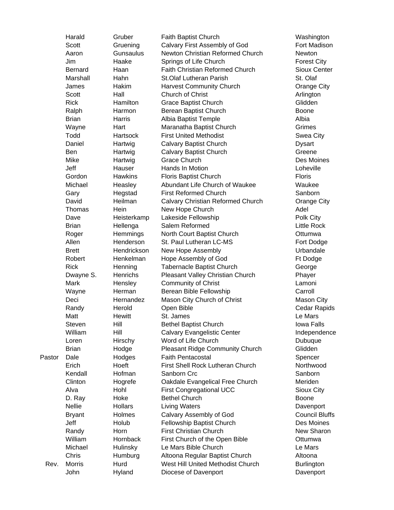|        | Harald         | Gruber                | Faith Baptist Church                  | Washington                      |
|--------|----------------|-----------------------|---------------------------------------|---------------------------------|
|        | Scott          | Gruening              | Calvary First Assembly of God         | Fort Madison                    |
|        | Aaron          | Gunsaulus             | Newton Christian Reformed Church      | Newton                          |
|        | Jim            | Haake                 | Springs of Life Church                | <b>Forest City</b>              |
|        | <b>Bernard</b> | Haan                  | Faith Christian Reformed Church       | Sioux Center                    |
|        | Marshall       | Hahn                  | <b>St.Olaf Lutheran Parish</b>        | St. Olaf                        |
|        | James          | Hakim                 | <b>Harvest Community Church</b>       | Orange City                     |
|        | Scott          | Hall                  | Church of Christ                      | Arlington                       |
|        | <b>Rick</b>    | Hamilton              | Grace Baptist Church                  | Glidden                         |
|        | Ralph          | Harmon                | Berean Baptist Church                 | Boone                           |
|        | <b>Brian</b>   | Harris                | Albia Baptist Temple                  | Albia                           |
|        | Wayne          | Hart                  | Maranatha Baptist Church              | Grimes                          |
|        | Todd           | <b>Hartsock</b>       | <b>First United Methodist</b>         | Swea City                       |
|        | Daniel         | Hartwig               | <b>Calvary Baptist Church</b>         | <b>Dysart</b>                   |
|        | Ben            | Hartwig               | <b>Calvary Baptist Church</b>         | Greene                          |
|        | Mike           | Hartwig               | <b>Grace Church</b>                   | Des Moines                      |
|        | Jeff           | Hauser                | <b>Hands In Motion</b>                | Loheville                       |
|        | Gordon         | <b>Hawkins</b>        | Floris Baptist Church                 | <b>Floris</b>                   |
|        | Michael        | Heasley               | Abundant Life Church of Waukee        | Waukee                          |
|        | Gary           | Hegstad               | <b>First Reformed Church</b>          | Sanborn                         |
|        | David          | Heilman               | Calvary Christian Reformed Church     | Orange City                     |
|        | Thomas         | Hein                  |                                       | Adel                            |
|        | Dave           | Heisterkamp           | New Hope Church                       |                                 |
|        | <b>Brian</b>   |                       | Lakeside Fellowship<br>Salem Reformed | Polk City<br><b>Little Rock</b> |
|        |                | Hellenga              |                                       |                                 |
|        | Roger          | Hemmings<br>Henderson | North Court Baptist Church            | Ottumwa                         |
|        | Allen          |                       | St. Paul Lutheran LC-MS               | Fort Dodge                      |
|        | <b>Brett</b>   | Hendrickson           | New Hope Assembly                     | Urbandale                       |
|        | Robert         | Henkelman             | Hope Assembly of God                  | Ft Dodge                        |
|        | <b>Rick</b>    | Henning               | Tabernacle Baptist Church             | George                          |
|        | Dwayne S.      | Henrichs              | Pleasant Valley Christian Church      | Phayer                          |
|        | Mark           | Hensley               | <b>Community of Christ</b>            | Lamoni                          |
|        | Wayne          | Herman                | Berean Bible Fellowship               | Carroll                         |
|        | Deci           | Hernandez             | Mason City Church of Christ           | Mason City                      |
|        | Randy          | Herold                | Open Bible                            | Cedar Rapids                    |
|        | Matt           | Hewitt                | St. James                             | Le Mars                         |
|        | Steven         | Hill                  | <b>Bethel Baptist Church</b>          | Iowa Falls                      |
|        | William        | Hill                  | Calvary Evangelistic Center           | Independence                    |
|        | Loren          | Hirschy               | Word of Life Church                   | Dubuque                         |
|        | <b>Brian</b>   | Hodge                 | Pleasant Ridge Community Church       | Glidden                         |
| Pastor | Dale           | Hodges                | <b>Faith Pentacostal</b>              | Spencer                         |
|        | Erich          | Hoeft                 | First Shell Rock Lutheran Church      | Northwood                       |
|        | Kendall        | Hofman                | Sanborn Crc                           | Sanborn                         |
|        | Clinton        | Hogrefe               | Oakdale Evangelical Free Church       | Meriden                         |
|        | Alva           | Hohl                  | <b>First Congregational UCC</b>       | Sioux City                      |
|        | D. Ray         | Hoke                  | <b>Bethel Church</b>                  | Boone                           |
|        | <b>Nellie</b>  | <b>Hollars</b>        | <b>Living Waters</b>                  | Davenport                       |
|        | <b>Bryant</b>  | Holmes                | Calvary Assembly of God               | <b>Council Bluffs</b>           |
|        | Jeff           | Holub                 | Fellowship Baptist Church             | Des Moines                      |
|        | Randy          | Horn                  | <b>First Christian Church</b>         | New Sharon                      |
|        | William        | Hornback              | First Church of the Open Bible        | Ottumwa                         |
|        | Michael        | <b>Hulinsky</b>       | Le Mars Bible Church                  | Le Mars                         |
|        | Chris          | Humburg               | Altoona Regular Baptist Church        | Altoona                         |
| Rev.   | <b>Morris</b>  | Hurd                  | West Hill United Methodist Church     | <b>Burlington</b>               |
|        | John           | Hyland                | Diocese of Davenport                  | Davenport                       |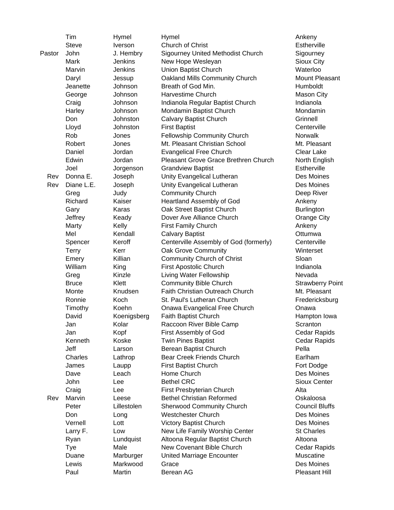|        | Tim          | Hymel          | Hymel                                    | Ankeny                |
|--------|--------------|----------------|------------------------------------------|-----------------------|
|        | <b>Steve</b> | Iverson        | <b>Church of Christ</b>                  | Estherville           |
| Pastor | John         | J. Hembry      | <b>Sigourney United Methodist Church</b> | Sigourney             |
|        | Mark         | Jenkins        | New Hope Wesleyan                        | Sioux City            |
|        | Marvin       | <b>Jenkins</b> | <b>Union Baptist Church</b>              | Waterloo              |
|        | Daryl        | Jessup         | Oakland Mills Community Church           | <b>Mount Pleasar</b>  |
|        | Jeanette     | Johnson        | Breath of God Min.                       | Humboldt              |
|        | George       | Johnson        | <b>Harvestime Church</b>                 | Mason City            |
|        | Craig        | Johnson        | Indianola Regular Baptist Church         | Indianola             |
|        | Harley       | Johnson        | Mondamin Baptist Church                  | Mondamin              |
|        | Don          | Johnston       | <b>Calvary Baptist Church</b>            | Grinnell              |
|        | Lloyd        | Johnston       | <b>First Baptist</b>                     | Centerville           |
|        | Rob          | Jones          | Fellowship Community Church              | Norwalk               |
|        | Robert       | Jones          | Mt. Pleasant Christian School            | Mt. Pleasant          |
|        | Daniel       | Jordan         | <b>Evangelical Free Church</b>           | <b>Clear Lake</b>     |
|        | Edwin        | Jordan         | Pleasant Grove Grace Brethren Church     | North English         |
|        | Joel         | Jorgenson      | <b>Grandview Baptist</b>                 | Estherville           |
| Rev    | Donna E.     | Joseph         | Unity Evangelical Lutheran               | Des Moines            |
| Rev    | Diane L.E.   | Joseph         | Unity Evangelical Lutheran               | Des Moines            |
|        | Greg         | Judy           | <b>Community Church</b>                  | Deep River            |
|        | Richard      | Kaiser         | <b>Heartland Assembly of God</b>         | Ankeny                |
|        | Gary         | Karas          | Oak Street Baptist Church                | <b>Burlington</b>     |
|        | Jeffrey      | Keady          | Dover Ave Alliance Church                | Orange City           |
|        | Marty        | Kelly          | <b>First Family Church</b>               | Ankeny                |
|        | Mel          | Kendall        | <b>Calvary Baptist</b>                   | Ottumwa               |
|        | Spencer      | Keroff         | Centerville Assembly of God (formerly)   | Centerville           |
|        | <b>Terry</b> | Kerr           | Oak Grove Community                      | Winterset             |
|        | Emery        | Killian        | Community Church of Christ               | Sloan                 |
|        | William      | King           | First Apostolic Church                   | Indianola             |
|        | Greg         | Kinzle         | Living Water Fellowship                  | Nevada                |
|        | <b>Bruce</b> | Klett          | <b>Community Bible Church</b>            | <b>Strawberry Po</b>  |
|        | Monte        | Knudsen        | Faith Christian Outreach Church          | Mt. Pleasant          |
|        | Ronnie       | Koch           | St. Paul's Lutheran Church               | Fredericksburg        |
|        | Timothy      | Koehn          | Onawa Evangelical Free Church            | Onawa                 |
|        | David        | Koenigsberg    | Faith Baptist Church                     | Hampton lowa          |
|        | Jan          | Kolar          | Raccoon River Bible Camp                 | Scranton              |
|        | Jan          | Kopf           | First Assembly of God                    | Cedar Rapids          |
|        | Kenneth      | Koske          | <b>Twin Pines Baptist</b>                | Cedar Rapids          |
|        | Jeff         | Larson         | Berean Baptist Church                    | Pella                 |
|        | Charles      | Lathrop        | <b>Bear Creek Friends Church</b>         | Earlham               |
|        | James        | Laupp          | <b>First Baptist Church</b>              | Fort Dodge            |
|        | Dave         | Leach          | Home Church                              | Des Moines            |
|        | John         | Lee            | <b>Bethel CRC</b>                        | Sioux Center          |
|        | Craig        | Lee            | First Presbyterian Church                | Alta                  |
| Rev    | Marvin       | Leese          | <b>Bethel Christian Reformed</b>         | Oskaloosa             |
|        | Peter        | Lillestolen    | <b>Sherwood Community Church</b>         | <b>Council Bluffs</b> |
|        | Don          | Long           | <b>Westchester Church</b>                | Des Moines            |
|        | Vernell      | Lott           | <b>Victory Baptist Church</b>            | Des Moines            |
|        | Larry F.     | Low            | New Life Family Worship Center           | <b>St Charles</b>     |
|        | Ryan         | Lundquist      | Altoona Regular Baptist Church           | Altoona               |
|        | Tye          | Male           | New Covenant Bible Church                | Cedar Rapids          |
|        | Duane        | Marburger      | <b>United Marriage Encounter</b>         | Muscatine             |
|        | Lewis        | Markwood       | Grace                                    | Des Moines            |
|        | Paul         | Martin         | Berean AG                                | Pleasant Hill         |
|        |              |                |                                          |                       |

unt Pleasant th English awberry Point dericksburg npton Iowa Jar Rapids dar Rapids dar Rapids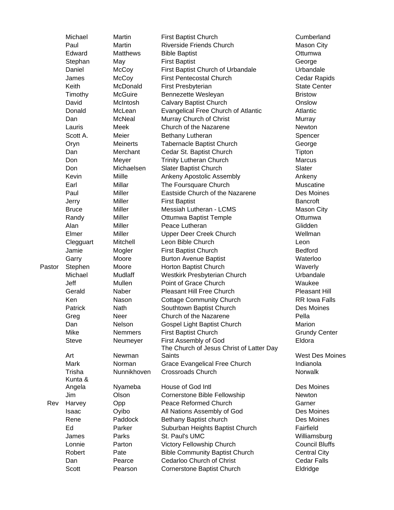|        | Michael      | Martin          | <b>First Baptist Church</b>                | Cumberland             |
|--------|--------------|-----------------|--------------------------------------------|------------------------|
|        | Paul         | Martin          | <b>Riverside Friends Church</b>            | Mason City             |
|        | Edward       | <b>Matthews</b> | <b>Bible Baptist</b>                       | Ottumwa                |
|        | Stephan      | May             | <b>First Baptist</b>                       | George                 |
|        | Daniel       | McCoy           | First Baptist Church of Urbandale          | Urbandale              |
|        | James        | McCoy           | <b>First Pentecostal Church</b>            | Cedar Rapids           |
|        | Keith        | McDonald        | First Presbyterian                         | <b>State Center</b>    |
|        | Timothy      | <b>McGuire</b>  | Bennezette Wesleyan                        | <b>Bristow</b>         |
|        | David        | McIntosh        | <b>Calvary Baptist Church</b>              | Onslow                 |
|        | Donald       | McLean          | <b>Evangelical Free Church of Atlantic</b> | Atlantic               |
|        | Dan          | <b>McNeal</b>   | Murray Church of Christ                    | Murray                 |
|        | Lauris       | Meek            | Church of the Nazarene                     | Newton                 |
|        | Scott A.     | Meier           | Bethany Lutheran                           | Spencer                |
|        | Oryn         | <b>Meinerts</b> | Tabernacle Baptist Church                  | George                 |
|        | Dan          | Merchant        |                                            | Tipton                 |
|        | Don          |                 | Cedar St. Baptist Church                   | Marcus                 |
|        |              | Meyer           | <b>Trinity Lutheran Church</b>             | Slater                 |
|        | Don          | Michaelsen      | Slater Baptist Church                      |                        |
|        | Kevin        | Miille          | Ankeny Apostolic Assembly                  | Ankeny                 |
|        | Earl         | Millar          | The Foursquare Church                      | Muscatine              |
|        | Paul         | <b>Miller</b>   | Eastside Church of the Nazarene            | Des Moines             |
|        | Jerry        | Miller          | <b>First Baptist</b>                       | <b>Bancroft</b>        |
|        | <b>Bruce</b> | <b>Miller</b>   | Messiah Lutheran - LCMS                    | Mason City             |
|        | Randy        | Miller          | Ottumwa Baptist Temple                     | Ottumwa                |
|        | Alan         | Miller          | Peace Lutheran                             | Glidden                |
|        | Elmer        | Miller          | Upper Deer Creek Church                    | Wellman                |
|        | Clegguart    | Mitchell        | Leon Bible Church                          | Leon                   |
|        | Jamie        | Mogler          | First Baptist Church                       | <b>Bedford</b>         |
|        | Garry        | Moore           | <b>Burton Avenue Baptist</b>               | Waterloo               |
| Pastor | Stephen      | Moore           | Horton Baptist Church                      | Waverly                |
|        | Michael      | Mudlaff         | Westkirk Presbyterian Church               | Urbandale              |
|        | Jeff         | Mullen          | Point of Grace Church                      | Waukee                 |
|        | Gerald       | Naber           | Pleasant Hill Free Church                  | Pleasant Hill          |
|        | Ken          | Nason           | <b>Cottage Community Church</b>            | <b>RR Iowa Falls</b>   |
|        | Patrick      | Nath            | Southtown Baptist Church                   | Des Moines             |
|        | Greg         | Neer            | Church of the Nazarene                     | Pella                  |
|        | Dan          | Nelson          | Gospel Light Baptist Church                | Marion                 |
|        | Mike         | <b>Nemmers</b>  | <b>First Baptist Church</b>                | <b>Grundy Center</b>   |
|        | <b>Steve</b> | Neumeyer        | First Assembly of God                      | Eldora                 |
|        |              |                 | The Church of Jesus Christ of Latter Day   |                        |
|        | Art          | Newman          | Saints                                     | <b>West Des Moines</b> |
|        | <b>Mark</b>  | Norman          | Grace Evangelical Free Church              | Indianola              |
|        | Trisha       | Nunnikhoven     | <b>Crossroads Church</b>                   | Norwalk                |
|        | Kunta &      |                 |                                            |                        |
|        | Angela       | Nyameba         | House of God Intl                          | Des Moines             |
|        | Jim          | Olson           | <b>Cornerstone Bible Fellowship</b>        | Newton                 |
| Rev    | Harvey       | Opp             | Peace Reformed Church                      | Garner                 |
|        | Isaac        | Oyibo           | All Nations Assembly of God                | Des Moines             |
|        | Rene         | Paddock         | Bethany Baptist church                     | Des Moines             |
|        | Ed           | Parker          | Suburban Heights Baptist Church            | Fairfield              |
|        | James        | Parks           | St. Paul's UMC                             | Williamsburg           |
|        | Lonnie       | Parton          | Victory Fellowship Church                  | <b>Council Bluffs</b>  |
|        | Robert       | Pate            | <b>Bible Community Baptist Church</b>      | <b>Central City</b>    |
|        | Dan          | Pearce          | Cedarloo Church of Christ                  | <b>Cedar Falls</b>     |
|        | Scott        | Pearson         | Cornerstone Baptist Church                 | Eldridge               |
|        |              |                 |                                            |                        |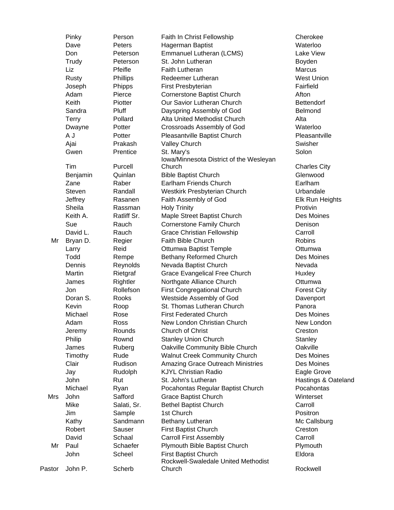|        | Pinky        | Person      | Faith In Christ Fellowship              | Cherokee            |
|--------|--------------|-------------|-----------------------------------------|---------------------|
|        | Dave         | Peters      | Hagerman Baptist                        | Waterloo            |
|        | Don          | Peterson    | Emmanuel Lutheran (LCMS)                | Lake View           |
|        | Trudy        | Peterson    | St. John Lutheran                       | Boyden              |
|        | Liz          | Pfeifle     | <b>Faith Lutheran</b>                   | Marcus              |
|        | <b>Rusty</b> | Phillips    | Redeemer Lutheran                       | <b>West Union</b>   |
|        | Joseph       | Phipps      | First Presbyterian                      | Fairfield           |
|        | Adam         | Pierce      | Cornerstone Baptist Church              | Afton               |
|        | Keith        | Piotter     | Our Savior Lutheran Church              | <b>Bettendorf</b>   |
|        | Sandra       | Pluff       | Dayspring Assembly of God               | Belmond             |
|        | <b>Terry</b> | Pollard     | Alta United Methodist Church            | Alta                |
|        | Dwayne       | Potter      | Crossroads Assembly of God              | Waterloo            |
|        | A J          | Potter      | Pleasantville Baptist Church            | Pleasantville       |
|        | Ajai         | Prakash     | <b>Valley Church</b>                    | Swisher             |
|        | Gwen         | Prentice    | St. Mary's                              | Solon               |
|        |              |             | Iowa/Minnesota District of the Wesleyan |                     |
|        | Tim          | Purcell     | Church                                  | <b>Charles City</b> |
|        | Benjamin     | Quinlan     | <b>Bible Baptist Church</b>             | Glenwood            |
|        | Zane         | Raber       | Earlham Friends Church                  | Earlham             |
|        | Steven       | Randall     | Westkirk Presbyterian Church            | Urbandale           |
|        | Jeffrey      | Rasanen     | Faith Assembly of God                   | Elk Run Heights     |
|        | Sheila       | Rassman     | <b>Holy Trinity</b>                     | Protivin            |
|        | Keith A.     | Ratliff Sr. | Maple Street Baptist Church             | Des Moines          |
|        | Sue          | Rauch       | Cornerstone Family Church               | Denison             |
|        | David L.     | Rauch       | <b>Grace Christian Fellowship</b>       | Carroll             |
| Mr     | Bryan D.     | Regier      | Faith Bible Church                      | <b>Robins</b>       |
|        | Larry        | Reid        | Ottumwa Baptist Temple                  | Ottumwa             |
|        | Todd         | Rempe       | Bethany Reformed Church                 | Des Moines          |
|        | Dennis       | Reynolds    | Nevada Baptist Church                   | Nevada              |
|        | Martin       | Rietgraf    | Grace Evangelical Free Church           | Huxley              |
|        | James        | Rightler    | Northgate Alliance Church               | Ottumwa             |
|        | Jon          | Rollefson   | <b>First Congregational Church</b>      | <b>Forest City</b>  |
|        | Doran S.     | Rooks       | Westside Assembly of God                | Davenport           |
|        | Kevin        | Roop        | St. Thomas Lutheran Church              | Panora              |
|        | Michael      | Rose        | <b>First Federated Church</b>           | Des Moines          |
|        | Adam         | Ross        | New London Christian Church             | New London          |
|        | Jeremy       | Rounds      | Church of Christ                        | Creston             |
|        | Philip       | Rownd       | <b>Stanley Union Church</b>             | Stanley             |
|        | James        | Ruberg      | Oakville Community Bible Church         | Oakville            |
|        | Timothy      | Rude        | <b>Walnut Creek Community Church</b>    | Des Moines          |
|        | Clair        | Rudison     | Amazing Grace Outreach Ministries       | Des Moines          |
|        | Jay          | Rudolph     | <b>KJYL Christian Radio</b>             | Eagle Grove         |
|        | John         | Rut         | St. John's Lutheran                     | Hastings & Oateland |
|        | Michael      | Ryan        | Pocahontas Regular Baptist Church       | Pocahontas          |
| Mrs    | John         | Safford     | <b>Grace Baptist Church</b>             | Winterset           |
|        | Mike         | Salati, Sr. | <b>Bethel Baptist Church</b>            | Carroll             |
|        | Jim          | Sample      | 1st Church                              | Positron            |
|        | Kathy        | Sandmann    | Bethany Lutheran                        | Mc Callsburg        |
|        | Robert       | Sauser      | <b>First Baptist Church</b>             | Creston             |
|        | David        | Schaal      | <b>Carroll First Assembly</b>           | Carroll             |
| Mr     | Paul         | Schaefer    | Plymouth Bible Baptist Church           | Plymouth            |
|        | John         | Scheel      | <b>First Baptist Church</b>             | Eldora              |
|        |              |             | Rockwell-Swaledale United Methodist     |                     |
| Pastor | John P.      | Scherb      | Church                                  | Rockwell            |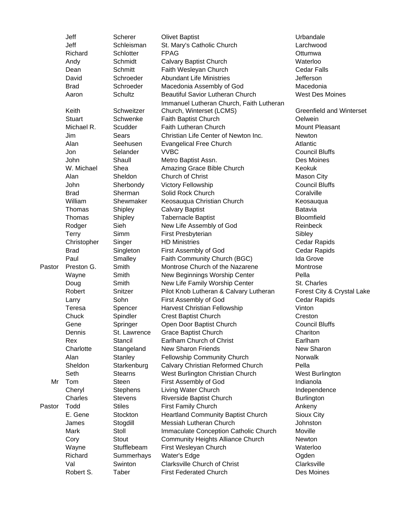|        | Jeff          | Scherer        | <b>Olivet Baptist</b>                     | Urbandale                       |
|--------|---------------|----------------|-------------------------------------------|---------------------------------|
|        | Jeff          | Schleisman     | St. Mary's Catholic Church                | Larchwood                       |
|        | Richard       | Schlotter      | <b>FPAG</b>                               | Ottumwa                         |
|        | Andy          | Schmidt        | <b>Calvary Baptist Church</b>             | Waterloo                        |
|        | Dean          | Schmitt        | Faith Wesleyan Church                     | <b>Cedar Falls</b>              |
|        | David         | Schroeder      | <b>Abundant Life Ministries</b>           | Jefferson                       |
|        | <b>Brad</b>   | Schroeder      | Macedonia Assembly of God                 | Macedonia                       |
|        | Aaron         | Schultz        | <b>Beautiful Savior Lutheran Church</b>   | West Des Moines                 |
|        |               |                | Immanuel Lutheran Church, Faith Lutheran  |                                 |
|        | Keith         | Schweitzer     | Church, Winterset (LCMS)                  | <b>Greenfield and Winterset</b> |
|        | <b>Stuart</b> | Schwenke       | Faith Baptist Church                      | Oelwein                         |
|        | Michael R.    | Scudder        | Faith Lutheran Church                     | <b>Mount Pleasant</b>           |
|        | Jim           | Sears          | Christian Life Center of Newton Inc.      | <b>Newton</b>                   |
|        | Alan          | Seehusen       | <b>Evangelical Free Church</b>            | Atlantic                        |
|        | Jon           | Selander       | <b>VVBC</b>                               | <b>Council Bluffs</b>           |
|        | John          | Shaull         | Metro Baptist Assn.                       | Des Moines                      |
|        | W. Michael    | Shea           | Amazing Grace Bible Church                | Keokuk                          |
|        | Alan          | Sheldon        | Church of Christ                          | <b>Mason City</b>               |
|        | John          |                |                                           | <b>Council Bluffs</b>           |
|        |               | Sherbondy      | Victory Fellowship                        |                                 |
|        | <b>Brad</b>   | Sherman        | Solid Rock Church                         | Coralville                      |
|        | William       | Shewmaker      | Keosauqua Christian Church                | Keosauqua                       |
|        | Thomas        | Shipley        | <b>Calvary Baptist</b>                    | <b>Batavia</b>                  |
|        | Thomas        | Shipley        | Tabernacle Baptist                        | Bloomfield                      |
|        | Rodger        | Sieh           | New Life Assembly of God                  | Reinbeck                        |
|        | <b>Terry</b>  | Simm           | First Presbyterian                        | Sibley                          |
|        | Christopher   | Singer         | <b>HD Ministries</b>                      | Cedar Rapids                    |
|        | <b>Brad</b>   | Singleton      | First Assembly of God                     | Cedar Rapids                    |
|        | Paul          | Smalley        | Faith Community Church (BGC)              | Ida Grove                       |
| Pastor | Preston G.    | Smith          | Montrose Church of the Nazarene           | Montrose                        |
|        | Wayne         | Smith          | New Beginnings Worship Center             | Pella                           |
|        | Doug          | Smith          | New Life Family Worship Center            | St. Charles                     |
|        | Robert        | Snitzer        | Pilot Knob Lutheran & Calvary Lutheran    | Forest City & Crystal Lake      |
|        | Larry         | Sohn           | First Assembly of God                     | Cedar Rapids                    |
|        | Teresa        | Spencer        | Harvest Christian Fellowship              | Vinton                          |
|        | Chuck         | Spindler       | <b>Crest Baptist Church</b>               | Creston                         |
|        | Gene          | Springer       | Open Door Baptist Church                  | <b>Council Bluffs</b>           |
|        | Dennis        | St. Lawrence   | <b>Grace Baptist Church</b>               | Chariton                        |
|        | Rex           | Stancil        | Earlham Church of Christ                  | Earlham                         |
|        | Charlotte     | Stangeland     | <b>New Sharon Friends</b>                 | New Sharon                      |
|        | Alan          | Stanley        | Fellowship Community Church               | <b>Norwalk</b>                  |
|        | Sheldon       | Starkenburg    | Calvary Christian Reformed Church         | Pella                           |
|        | Seth          | <b>Stearns</b> | West Burlington Christian Church          | West Burlington                 |
| Mr     | Tom           | <b>Steen</b>   | First Assembly of God                     | Indianola                       |
|        | Cheryl        | Stephens       | Living Water Church                       | Independence                    |
|        | Charles       | <b>Stevens</b> | Riverside Baptist Church                  | <b>Burlington</b>               |
| Pastor | Todd          | <b>Stiles</b>  | First Family Church                       | Ankeny                          |
|        | E. Gene       | Stockton       | <b>Heartland Community Baptist Church</b> | Sioux City                      |
|        | James         | Stogdill       | Messiah Lutheran Church                   | Johnston                        |
|        | Mark          | Stoll          | Immaculate Conception Catholic Church     | Moville                         |
|        | Cory          | Stout          | <b>Community Heights Alliance Church</b>  | Newton                          |
|        | Wayne         | Stufflebeam    | First Wesleyan Church                     | Waterloo                        |
|        | Richard       | Summerhays     | Water's Edge                              | Ogden                           |
|        | Val           | Swinton        | <b>Clarksville Church of Christ</b>       | Clarksville                     |
|        | Robert S.     | Taber          | <b>First Federated Church</b>             | Des Moines                      |
|        |               |                |                                           |                                 |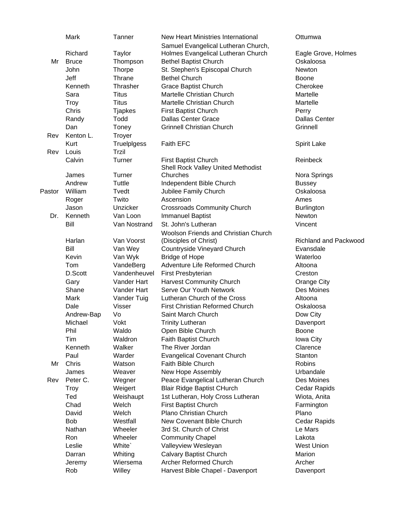|        | Mark         | Tanner         | New Heart Ministries International     | Ottumwa                      |
|--------|--------------|----------------|----------------------------------------|------------------------------|
|        |              |                | Samuel Evangelical Lutheran Church,    |                              |
|        | Richard      | Taylor         | Holmes Evangelical Lutheran Church     | Eagle Grove, Holmes          |
| Mr     | <b>Bruce</b> | Thompson       | <b>Bethel Baptist Church</b>           | Oskaloosa                    |
|        | John         | <b>Thorpe</b>  | St. Stephen's Episcopal Church         | Newton                       |
|        | Jeff         | Thrane         | <b>Bethel Church</b>                   | <b>Boone</b>                 |
|        | Kenneth      | Thrasher       | <b>Grace Baptist Church</b>            | Cherokee                     |
|        | Sara         | <b>Titus</b>   | Martelle Christian Church              | Martelle                     |
|        | <b>Troy</b>  | <b>Titus</b>   | Martelle Christian Church              | Martelle                     |
|        | Chris        | <b>Tjapkes</b> | First Baptist Church                   | Perry                        |
|        | Randy        | Todd           | <b>Dallas Center Grace</b>             | <b>Dallas Center</b>         |
|        | Dan          | Toney          | <b>Grinnell Christian Church</b>       | Grinnell                     |
| Rev    | Kenton L.    | Troyer         |                                        |                              |
|        | Kurt         | TruelpIgess    | Faith EFC                              | Spirit Lake                  |
| Rev    | Louis        | Trzil          |                                        |                              |
|        | Calvin       | Turner         | First Baptist Church                   | Reinbeck                     |
|        |              |                | Shell Rock Valley United Methodist     |                              |
|        | James        | Turner         | Churches                               | Nora Springs                 |
|        | Andrew       | Tuttle         | Independent Bible Church               | <b>Bussey</b>                |
| Pastor | William      | Tvedt          | Jubilee Family Church                  | Oskaloosa                    |
|        | Roger        | Twito          | Ascension                              | Ames                         |
|        | Jason        | Unzicker       | <b>Crossroads Community Church</b>     | <b>Burlington</b>            |
| Dr.    | Kenneth      | Van Loon       | <b>Immanuel Baptist</b>                | Newton                       |
|        | Bill         | Van Nostrand   | St. John's Lutheran                    | Vincent                      |
|        |              |                | Woolson Friends and Christian Church   |                              |
|        | Harlan       | Van Voorst     | (Disciples of Christ)                  | <b>Richland and Packwood</b> |
|        | Bill         | Van Wey        | Countryside Vineyard Church            | Evansdale                    |
|        | Kevin        | Van Wyk        | <b>Bridge of Hope</b>                  | Waterloo                     |
|        | Tom          | VandeBerg      | Adventure Life Reformed Church         | Altoona                      |
|        | D.Scott      | Vandenheuvel   | First Presbyterian                     | Creston                      |
|        | Gary         | Vander Hart    | <b>Harvest Community Church</b>        | Orange City                  |
|        | Shane        | Vander Hart    | Serve Our Youth Network                | Des Moines                   |
|        | Mark         | Vander Tuig    | Lutheran Church of the Cross           | Altoona                      |
|        | Dale         | <b>Visser</b>  | <b>First Christian Reformed Church</b> | Oskaloosa                    |
|        | Andrew-Bap   | Vo             | Saint March Church                     | Dow City                     |
|        | Michael      | Vokt           | <b>Trinity Lutheran</b>                | Davenport                    |
|        | Phil         | Waldo          | Open Bible Church                      | <b>Boone</b>                 |
|        | Tim          | <b>Waldron</b> | Faith Baptist Church                   | Iowa City                    |
|        | Kenneth      | Walker         | The River Jordan                       | Clarence                     |
|        | Paul         | Warder         | <b>Evangelical Covenant Church</b>     | Stanton                      |
| Mr     | Chris        | Watson         | Faith Bible Church                     | <b>Robins</b>                |
|        | James        | Weaver         | New Hope Assembly                      | Urbandale                    |
| Rev    | Peter C.     | Wegner         | Peace Evangelical Lutheran Church      | Des Moines                   |
|        | <b>Troy</b>  | Weigert        | <b>Blair Ridge Baptist CHurch</b>      | Cedar Rapids                 |
|        | Ted          | Weishaupt      | 1st Lutheran, Holy Cross Lutheran      | Wiota, Anita                 |
|        | Chad         | Welch          | <b>First Baptist Church</b>            | Farmington                   |
|        | David        | Welch          | Plano Christian Church                 | Plano                        |
|        | <b>Bob</b>   | Westfall       | New Covenant Bible Church              | Cedar Rapids                 |
|        | Nathan       | Wheeler        | 3rd St. Church of Christ               | Le Mars                      |
|        | Ron          | Wheeler        | <b>Community Chapel</b>                | Lakota                       |
|        | Leslie       | White`         | Valleyview Wesleyan                    | <b>West Union</b>            |
|        | Darran       | Whiting        | <b>Calvary Baptist Church</b>          | Marion                       |
|        | Jeremy       | Wiersema       | Archer Reformed Church                 | Archer                       |
|        | Rob          | Willey         | Harvest Bible Chapel - Davenport       | Davenport                    |